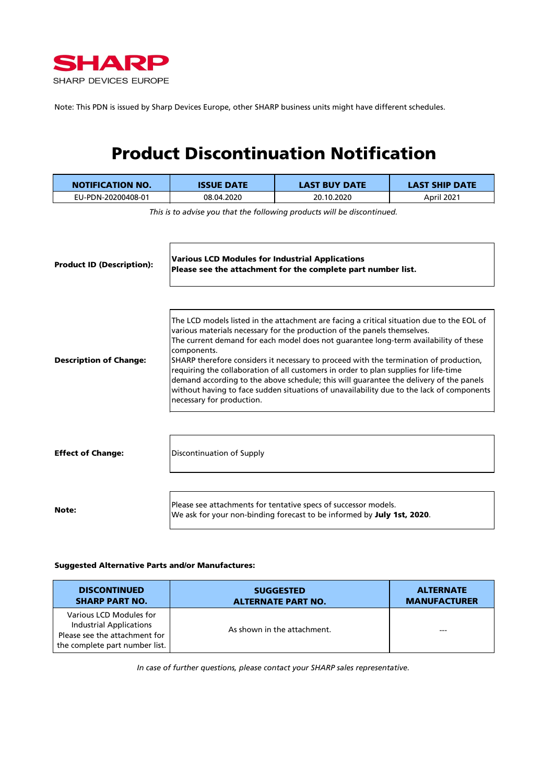

Note: This PDN is issued by Sharp Devices Europe, other SHARP business units might have different schedules.

### Product Discontinuation Notification

| <b>NOTIFICATION NO.</b>          | <b>ISSUE DATE</b>                                                                                                                                                                                                                                                                                                                                                                                                                                                                                                                                                                                                                                                                | <b>LAST BUY DATE</b>                                                                                                                      | <b>LAST SHIP DATE</b> |  |
|----------------------------------|----------------------------------------------------------------------------------------------------------------------------------------------------------------------------------------------------------------------------------------------------------------------------------------------------------------------------------------------------------------------------------------------------------------------------------------------------------------------------------------------------------------------------------------------------------------------------------------------------------------------------------------------------------------------------------|-------------------------------------------------------------------------------------------------------------------------------------------|-----------------------|--|
| EU-PDN-20200408-01               | 08.04.2020                                                                                                                                                                                                                                                                                                                                                                                                                                                                                                                                                                                                                                                                       | 20.10.2020                                                                                                                                | April 2021            |  |
| <b>Product ID (Description):</b> | This is to advise you that the following products will be discontinued.<br><b>Various LCD Modules for Industrial Applications</b><br>Please see the attachment for the complete part number list.                                                                                                                                                                                                                                                                                                                                                                                                                                                                                |                                                                                                                                           |                       |  |
| <b>Description of Change:</b>    | The LCD models listed in the attachment are facing a critical situation due to the EOL of<br>various materials necessary for the production of the panels themselves.<br>The current demand for each model does not guarantee long-term availability of these<br>components.<br>SHARP therefore considers it necessary to proceed with the termination of production,<br>requiring the collaboration of all customers in order to plan supplies for life-time<br>demand according to the above schedule; this will guarantee the delivery of the panels<br>without having to face sudden situations of unavailability due to the lack of components<br>necessary for production. |                                                                                                                                           |                       |  |
| <b>Effect of Change:</b>         | Discontinuation of Supply                                                                                                                                                                                                                                                                                                                                                                                                                                                                                                                                                                                                                                                        |                                                                                                                                           |                       |  |
| Note:                            |                                                                                                                                                                                                                                                                                                                                                                                                                                                                                                                                                                                                                                                                                  | Please see attachments for tentative specs of successor models.<br>We ask for your non-binding forecast to be informed by July 1st, 2020. |                       |  |

#### Suggested Alternative Parts and/or Manufactures:

| <b>DISCONTINUED</b>                                                                                                          | <b>SUGGESTED</b>            | <b>ALTERNATE</b>    |
|------------------------------------------------------------------------------------------------------------------------------|-----------------------------|---------------------|
| <b>SHARP PART NO.</b>                                                                                                        | <b>ALTERNATE PART NO.</b>   | <b>MANUFACTURER</b> |
| Various LCD Modules for<br><b>Industrial Applications</b><br>Please see the attachment for<br>the complete part number list. | As shown in the attachment. |                     |

*In case of further questions, please contact your SHARP sales representative.*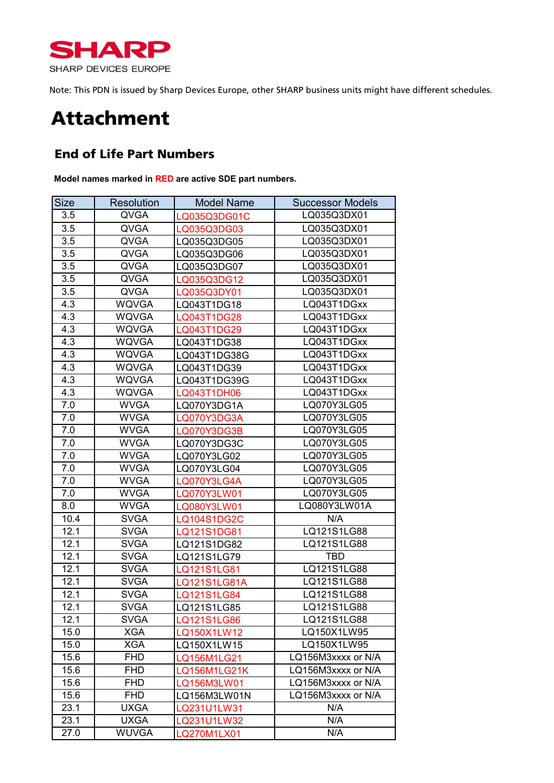

Note: This PDN is issued by Sharp Devices Europe, other SHARP business units might have different schedules.

### Attachment

#### End of Life Part Numbers

**Model names marked in RED are active SDE part numbers.**

| <b>Size</b> | <b>Resolution</b> | <b>Model Name</b>  | <b>Successor Models</b> |
|-------------|-------------------|--------------------|-------------------------|
| 3.5         | <b>QVGA</b>       | LQ035Q3DG01C       | LQ035Q3DX01             |
| 3.5         | <b>QVGA</b>       | LQ035Q3DG03        | LQ035Q3DX01             |
| 3.5         | <b>QVGA</b>       | LQ035Q3DG05        | LQ035Q3DX01             |
| 3.5         | <b>QVGA</b>       | LQ035Q3DG06        | LQ035Q3DX01             |
| 3.5         | <b>QVGA</b>       | LQ035Q3DG07        | LQ035Q3DX01             |
| 3.5         | <b>QVGA</b>       | LQ035Q3DG12        | LQ035Q3DX01             |
| 3.5         | QVGA              | LQ035Q3DY01        | LQ035Q3DX01             |
| 4.3         | <b>WQVGA</b>      | LQ043T1DG18        | LQ043T1DGxx             |
| 4.3         | <b>WQVGA</b>      | LQ043T1DG28        | LQ043T1DGxx             |
| 4.3         | <b>WQVGA</b>      | LQ043T1DG29        | LQ043T1DGxx             |
| 4.3         | <b>WQVGA</b>      | LQ043T1DG38        | LQ043T1DGxx             |
| 4.3         | <b>WQVGA</b>      | LQ043T1DG38G       | LQ043T1DGxx             |
| 4.3         | <b>WQVGA</b>      | LQ043T1DG39        | LQ043T1DGxx             |
| 4.3         | <b>WQVGA</b>      | LQ043T1DG39G       | LQ043T1DGxx             |
| 4.3         | <b>WQVGA</b>      | LQ043T1DH06        | LQ043T1DGxx             |
| 7.0         | <b>WVGA</b>       | LQ070Y3DG1A        | LQ070Y3LG05             |
| 7.0         | <b>WVGA</b>       | LQ070Y3DG3A        | LQ070Y3LG05             |
| 7.0         | <b>WVGA</b>       | LQ070Y3DG3B        | LQ070Y3LG05             |
| 7.0         | <b>WVGA</b>       | LQ070Y3DG3C        | LQ070Y3LG05             |
| 7.0         | <b>WVGA</b>       | LQ070Y3LG02        | LQ070Y3LG05             |
| 7.0         | <b>WVGA</b>       | LQ070Y3LG04        | LQ070Y3LG05             |
| 7.0         | <b>WVGA</b>       | LQ070Y3LG4A        | LQ070Y3LG05             |
| 7.0         | <b>WVGA</b>       | LQ070Y3LW01        | LQ070Y3LG05             |
| 8.0         | <b>WVGA</b>       | LQ080Y3LW01        | LQ080Y3LW01A            |
| 10.4        | <b>SVGA</b>       | <b>LQ104S1DG2C</b> | N/A                     |
| 12.1        | <b>SVGA</b>       | LQ121S1DG81        | LQ121S1LG88             |
| 12.1        | <b>SVGA</b>       | LQ121S1DG82        | LQ121S1LG88             |
| 12.1        | <b>SVGA</b>       | LQ121S1LG79        | <b>TBD</b>              |
| 12.1        | <b>SVGA</b>       | LQ121S1LG81        | LQ121S1LG88             |
| 12.1        | <b>SVGA</b>       | LQ121S1LG81A       | LQ121S1LG88             |
| 12.1        | <b>SVGA</b>       | LQ121S1LG84        | LQ121S1LG88             |
| 12.1        | <b>SVGA</b>       | LQ121S1LG85        | LQ121S1LG88             |
| 12.1        | <b>SVGA</b>       | LQ121S1LG86        | LQ121S1LG88             |
| 15.0        | <b>XGA</b>        | LQ150X1LW12        | LQ150X1LW95             |
| 15.0        | <b>XGA</b>        | LQ150X1LW15        | LQ150X1LW95             |
| 15.6        | <b>FHD</b>        | LQ156M1LG21        | LQ156M3xxxx or N/A      |
| 15.6        | <b>FHD</b>        | LQ156M1LG21K       | LQ156M3xxxx or N/A      |
| 15.6        | <b>FHD</b>        | LQ156M3LW01        | LQ156M3xxxx or N/A      |
| 15.6        | <b>FHD</b>        | LQ156M3LW01N       | LQ156M3xxxx or N/A      |
| 23.1        | <b>UXGA</b>       | LQ231U1LW31        | N/A                     |
| 23.1        | <b>UXGA</b>       | Q231U1LW32         | N/A                     |
| 27.0        | <b>WUVGA</b>      | LQ270M1LX01        | N/A                     |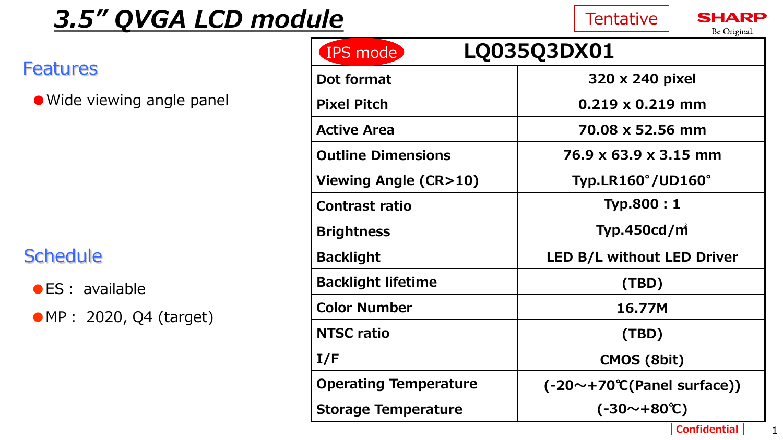# *3.5" QVGA LCD module*

## **Schedule**

| <b>Features</b>            | LQ035Q3DX01<br>IPS mode      |                                            |  |
|----------------------------|------------------------------|--------------------------------------------|--|
|                            | Dot format                   | 320 x 240 pixel                            |  |
| • Wide viewing angle panel | <b>Pixel Pitch</b>           | $0.219 \times 0.219$ mm                    |  |
|                            | <b>Active Area</b>           | 70.08 x 52.56 mm                           |  |
|                            | <b>Outline Dimensions</b>    | 76.9 x 63.9 x 3.15 mm                      |  |
|                            | Viewing Angle (CR>10)        | Typ.LR160°/UD160°                          |  |
|                            | <b>Contrast ratio</b>        | Typ.800:1                                  |  |
|                            | <b>Brightness</b>            | Typ.450cd/ $mi$                            |  |
| <b>Schedule</b>            | <b>Backlight</b>             | LED B/L without LED Driver                 |  |
| $\bullet$ ES : available   | <b>Backlight lifetime</b>    | (TBD)                                      |  |
| • MP : 2020, Q4 (target)   | <b>Color Number</b>          | 16.77M                                     |  |
|                            | <b>NTSC ratio</b>            | (TBD)                                      |  |
|                            | I/F                          | CMOS (8bit)                                |  |
|                            | <b>Operating Temperature</b> | $(-20 \sim +70 \degree C$ (Panel surface)) |  |
|                            | <b>Storage Temperature</b>   | $(-30 \sim +80 \degree C)$                 |  |
|                            |                              | <b>Confidential</b>                        |  |

**Tentative** 

RP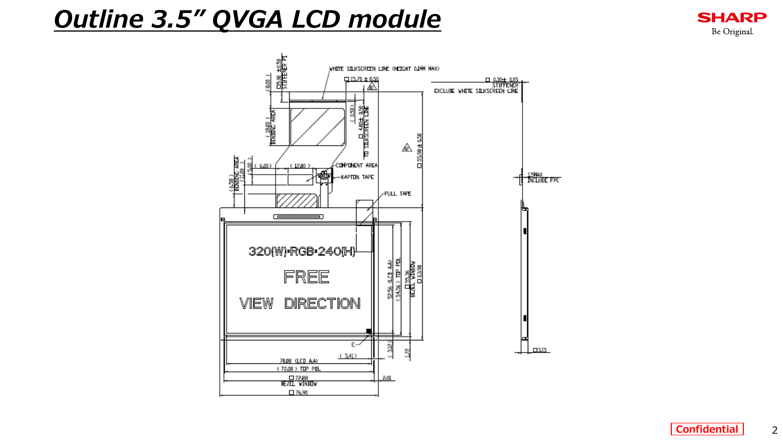# *Outline 3.5" QVGA LCD module*

STIFFERER PT WHITE SILKSCREEN LINE (HEIGHT OUNN NAXO  $\frac{1}{3}$  $\frac{15.70 \pm 0.50}{1}$ 0.31:1 0.31<br>STIFFENER<br>EXCLUDE WHITE SILKSCREEN LINE  $\frac{D4.00 \pm 0.50}{2}$ BENUDNG AREA)<br>BENUDNG AREA ⚠ 55,90 ± **COMPONENT AREA**  $(12.00)$ 漏 15MAX<br>NCLUDE FPC -KAPTON TAPE **PULL TAPE** ⋐ 320(W)\*RGB\*240(H) 5256 4.01 AA)<br>54.56 ) TDP PDL **BEAL WARN**<br>BEAL WARN FREE VIEW DIRECTION  $c \mathbf{\Omega}$  $\Box 315$ ß  $(341)$ 70.08 (LCD AA) (72.09) TOP POL  $\frac{\square$ 72.88<br>Kezel Window  $2.01$  $\square$  76,90

**SHARP** Be Original.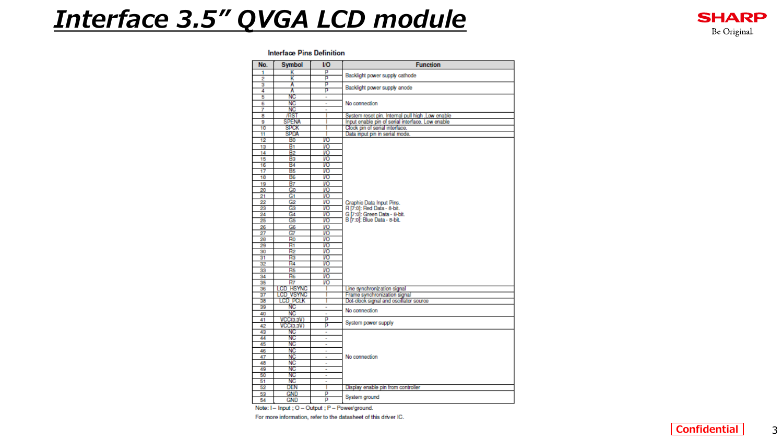## *Interface 3.5" QVGA LCD module*

#### **Interface Pins Definition**

| No.             | <b>Symbol</b>    | <b>VO</b>      | <b>Function</b>                                             |  |
|-----------------|------------------|----------------|-------------------------------------------------------------|--|
| 1               | κ                | p              | Backlight power supply cathode                              |  |
| 2               | κ                | p              |                                                             |  |
| 3               | A                | р              | Backlight power supply anode                                |  |
| 4               | A                | p              |                                                             |  |
| 5               | ΝC               | ۰              |                                                             |  |
| 6               | <b>NC</b>        | ٠              | No connection                                               |  |
| 7               | NC               | $\overline{a}$ |                                                             |  |
| 8               | <b>RST</b>       |                | System reset pin, Internal pull high .Low enable            |  |
| g               | <b>SPENA</b>     | ı              | Input enable pin of serial interface. Low enable            |  |
| 10              | <b>SPCK</b>      |                | Clock pin of serial interface.                              |  |
| 11              | <b>SPDA</b>      | ٠              | Data input pin in serial mode.                              |  |
| 12              | Bo               | VO             |                                                             |  |
| 13              | B <sub>1</sub>   | VO             |                                                             |  |
| 14              | <b>B2</b>        | VO             |                                                             |  |
| $\overline{15}$ | B <sub>3</sub>   | VO             |                                                             |  |
| 16              | <b>B4</b>        | VO             |                                                             |  |
| 17              | B5               | VO             |                                                             |  |
| 18              | B6               | VO             |                                                             |  |
| 19              | <b>B7</b>        | VO             |                                                             |  |
| 20              | Go               | VO             |                                                             |  |
| 21              | G1               | VO             |                                                             |  |
| 22              | G2               | VO             | Graphic Data Input Pins.                                    |  |
| 23              | Gз               | VO             | R [7:0]: Red Data - 8-bit.                                  |  |
| 24              | G4               | VO             |                                                             |  |
| 25              | G5               | VO             | G [7:0]: Green Data - 8-bit.<br>B [7:0]: Blue Data - 8-bit. |  |
| 26              | G6               | VO             |                                                             |  |
| 27              | Ġ7               | VO             |                                                             |  |
| 28              | Ro               | VO             |                                                             |  |
| 29              | R1               | VO             |                                                             |  |
| 30              | R2               | VO             |                                                             |  |
| 31              | Rз               | VO             |                                                             |  |
| 32              | R <sub>4</sub>   | VO             |                                                             |  |
| 33              | R <sub>5</sub>   | VO             |                                                             |  |
| 34              | R6               | VO             |                                                             |  |
| 35              | R7               | VO             |                                                             |  |
| 36              | LCD HSYNC        |                | Line synchronization signal                                 |  |
| 37              | <b>LCD VSYNC</b> |                | Frame synchronization signal                                |  |
| 38              | LCD PCLK         | ٠              | Dot-clock signal and oscillator source                      |  |
| 39              | NC.              | ۰              |                                                             |  |
| 40              | <b>NC</b>        | L.             | No connection                                               |  |
| 41              | VCC(3.3V)        | p              |                                                             |  |
| 42              | <b>VCC(3.3V)</b> | p              | System power supply                                         |  |
| 43              | ΝC               | ÷,             |                                                             |  |
| 44              | NC               | ٠              |                                                             |  |
| 45              | NC               | ÷              |                                                             |  |
| 46              | <b>NC</b>        | ÷              |                                                             |  |
| 47              | <b>NC</b>        | ÷              | No connection                                               |  |
| 48              | <b>NC</b>        | ٠              |                                                             |  |
| 49              | NC               | ٠              |                                                             |  |
| 50              | NC               | ÷              |                                                             |  |
| 51              | ΝC               | ÷              |                                                             |  |
| 52              | DEN              |                | Display enable pin from controller                          |  |
| 53              | GND              | p              |                                                             |  |
| 54              | <b>GND</b>       | p              | System ground                                               |  |
|                 |                  |                |                                                             |  |

Note: I - Input ; O - Output ; P - Power/ground.

For more information, refer to the datasheet of this driver IC.

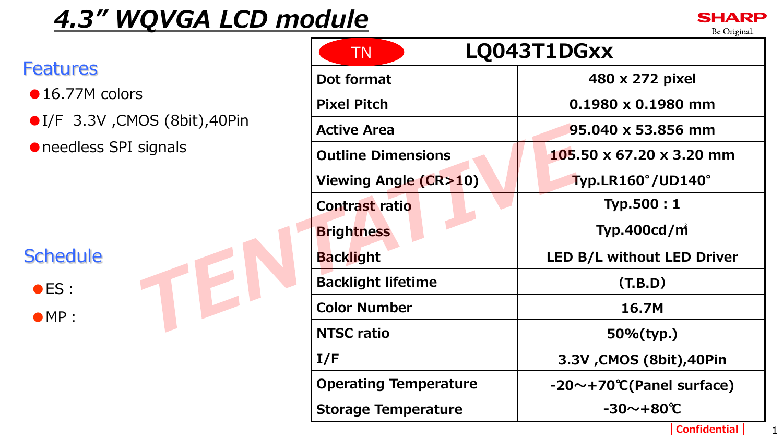# *4.3" WQVGA LCD module*



|                                                             | LQ043T1DGxx<br><b>TN</b>     |                             |  |
|-------------------------------------------------------------|------------------------------|-----------------------------|--|
| <b>Features</b>                                             | Dot format                   | 480 x 272 pixel             |  |
| $\bullet$ 16.77M colors                                     | <b>Pixel Pitch</b>           | $0.1980 \times 0.1980$ mm   |  |
| ● I/F 3.3V , CMOS (8bit), 40Pin                             | <b>Active Area</b>           | 95.040 x 53.856 mm          |  |
| • needless SPI signals<br><b>Schedule</b><br>$\bullet$ ES : | <b>Outline Dimensions</b>    | 105.50 x 67.20 x 3.20 mm    |  |
|                                                             | Viewing Angle (CR>10)        | Typ.LR160°/UD140°           |  |
|                                                             | <b>Contrast ratio</b>        | Typ.500:1                   |  |
|                                                             | <b>Brightness</b>            | <b>Typ.400cd/m</b>          |  |
|                                                             | <b>Backlight</b>             | LED B/L without LED Driver  |  |
|                                                             | <b>Backlight lifetime</b>    | (T.B.D)                     |  |
| $\bullet$ MP :                                              | <b>Color Number</b>          | 16.7M                       |  |
|                                                             | <b>NTSC ratio</b>            | 50%(typ.)                   |  |
|                                                             | I/F                          | 3.3V, CMOS (8bit), 40Pin    |  |
|                                                             | <b>Operating Temperature</b> | $-20$ ~+70°C(Panel surface) |  |
|                                                             | <b>Storage Temperature</b>   | $-30$ ~+80°C                |  |
|                                                             |                              | <b>Confidential</b>         |  |

**SHARP** Be Original.